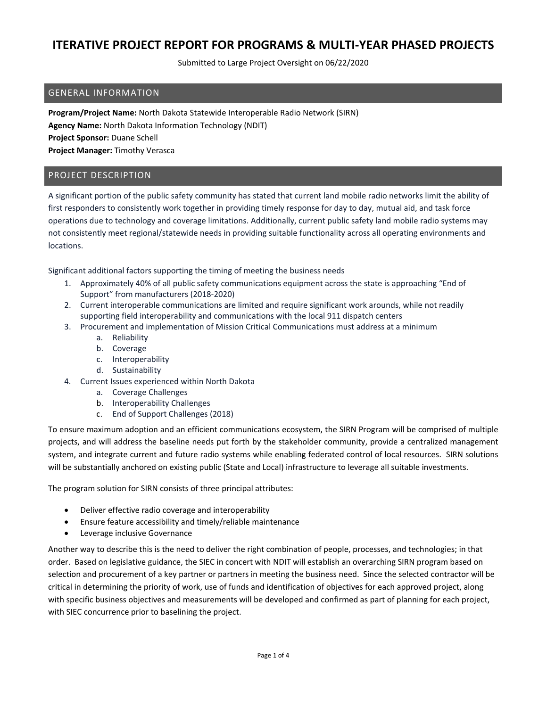Submitted to Large Project Oversight on 06/22/2020

### GENERAL INFORMATION

**Program/Project Name:** North Dakota Statewide Interoperable Radio Network (SIRN) **Agency Name:** North Dakota Information Technology (NDIT) **Project Sponsor:** Duane Schell **Project Manager:** Timothy Verasca

### PROJECT DESCRIPTION

A significant portion of the public safety community has stated that current land mobile radio networks limit the ability of first responders to consistently work together in providing timely response for day to day, mutual aid, and task force operations due to technology and coverage limitations. Additionally, current public safety land mobile radio systems may not consistently meet regional/statewide needs in providing suitable functionality across all operating environments and locations.

Significant additional factors supporting the timing of meeting the business needs

- 1. Approximately 40% of all public safety communications equipment across the state is approaching "End of Support" from manufacturers (2018-2020)
- 2. Current interoperable communications are limited and require significant work arounds, while not readily supporting field interoperability and communications with the local 911 dispatch centers
- 3. Procurement and implementation of Mission Critical Communications must address at a minimum
	- a. Reliability
	- b. Coverage
	- c. Interoperability
	- d. Sustainability
- 4. Current Issues experienced within North Dakota
	- a. Coverage Challenges
	- b. Interoperability Challenges
	- c. End of Support Challenges (2018)

To ensure maximum adoption and an efficient communications ecosystem, the SIRN Program will be comprised of multiple projects, and will address the baseline needs put forth by the stakeholder community, provide a centralized management system, and integrate current and future radio systems while enabling federated control of local resources. SIRN solutions will be substantially anchored on existing public (State and Local) infrastructure to leverage all suitable investments.

The program solution for SIRN consists of three principal attributes:

- Deliver effective radio coverage and interoperability
- Ensure feature accessibility and timely/reliable maintenance
- Leverage inclusive Governance

Another way to describe this is the need to deliver the right combination of people, processes, and technologies; in that order. Based on legislative guidance, the SIEC in concert with NDIT will establish an overarching SIRN program based on selection and procurement of a key partner or partners in meeting the business need. Since the selected contractor will be critical in determining the priority of work, use of funds and identification of objectives for each approved project, along with specific business objectives and measurements will be developed and confirmed as part of planning for each project, with SIEC concurrence prior to baselining the project.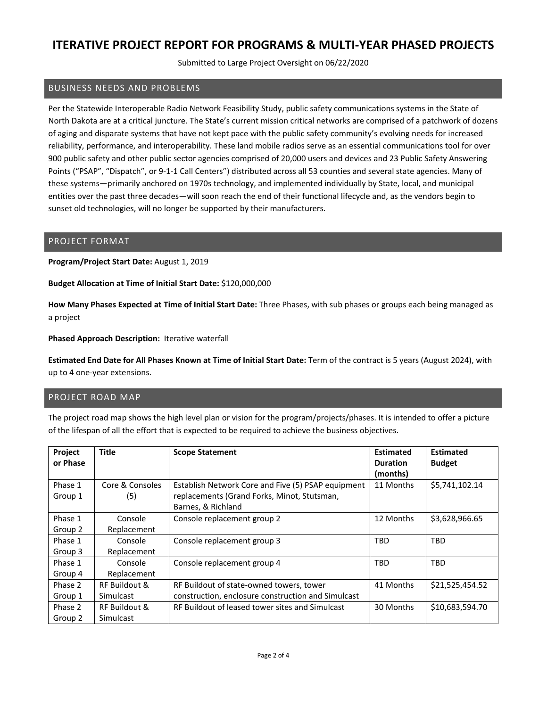Submitted to Large Project Oversight on 06/22/2020

### BUSINESS NEEDS AND PROBLEMS

Per the Statewide Interoperable Radio Network Feasibility Study, public safety communications systems in the State of North Dakota are at a critical juncture. The State's current mission critical networks are comprised of a patchwork of dozens of aging and disparate systems that have not kept pace with the public safety community's evolving needs for increased reliability, performance, and interoperability. These land mobile radios serve as an essential communications tool for over 900 public safety and other public sector agencies comprised of 20,000 users and devices and 23 Public Safety Answering Points ("PSAP", "Dispatch", or 9-1-1 Call Centers") distributed across all 53 counties and several state agencies. Many of these systems—primarily anchored on 1970s technology, and implemented individually by State, local, and municipal entities over the past three decades—will soon reach the end of their functional lifecycle and, as the vendors begin to sunset old technologies, will no longer be supported by their manufacturers.

#### PROJECT FORMAT

**Program/Project Start Date:** August 1, 2019

**Budget Allocation at Time of Initial Start Date:** \$120,000,000

**How Many Phases Expected at Time of Initial Start Date:** Three Phases, with sub phases or groups each being managed as a project

**Phased Approach Description:** Iterative waterfall

**Estimated End Date for All Phases Known at Time of Initial Start Date:** Term of the contract is 5 years (August 2024), with up to 4 one-year extensions.

### PROJECT ROAD MAP

The project road map shows the high level plan or vision for the program/projects/phases. It is intended to offer a picture of the lifespan of all the effort that is expected to be required to achieve the business objectives.

| Project  | <b>Title</b>    | <b>Scope Statement</b>                             | <b>Estimated</b> | <b>Estimated</b> |
|----------|-----------------|----------------------------------------------------|------------------|------------------|
| or Phase |                 |                                                    | <b>Duration</b>  | <b>Budget</b>    |
|          |                 |                                                    | (months)         |                  |
| Phase 1  | Core & Consoles | Establish Network Core and Five (5) PSAP equipment | 11 Months        | \$5,741,102.14   |
| Group 1  | (5)             | replacements (Grand Forks, Minot, Stutsman,        |                  |                  |
|          |                 | Barnes, & Richland                                 |                  |                  |
| Phase 1  | Console         | Console replacement group 2                        | 12 Months        | \$3,628,966.65   |
| Group 2  | Replacement     |                                                    |                  |                  |
| Phase 1  | Console         | Console replacement group 3                        | <b>TBD</b>       | <b>TBD</b>       |
| Group 3  | Replacement     |                                                    |                  |                  |
| Phase 1  | Console         | Console replacement group 4                        | <b>TBD</b>       | <b>TBD</b>       |
| Group 4  | Replacement     |                                                    |                  |                  |
| Phase 2  | RF Buildout &   | RF Buildout of state-owned towers, tower           | 41 Months        | \$21,525,454.52  |
| Group 1  | Simulcast       | construction, enclosure construction and Simulcast |                  |                  |
| Phase 2  | RF Buildout &   | RF Buildout of leased tower sites and Simulcast    | 30 Months        | \$10,683,594.70  |
| Group 2  | Simulcast       |                                                    |                  |                  |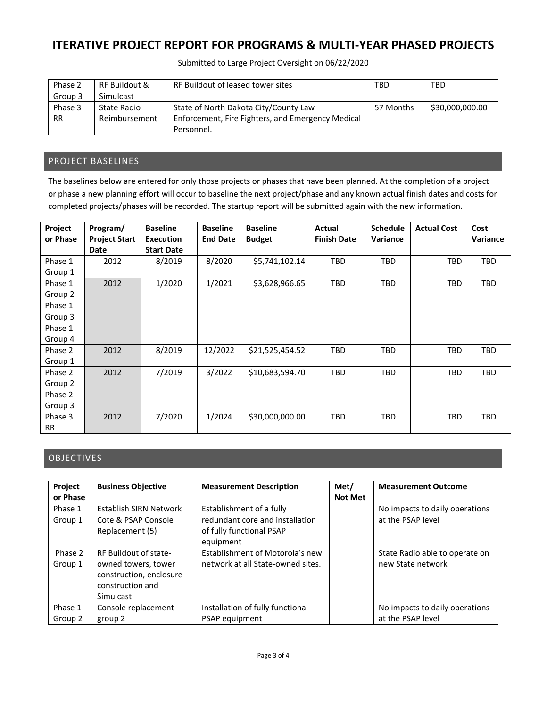Submitted to Large Project Oversight on 06/22/2020

| Phase 2   | RF Buildout & | RF Buildout of leased tower sites                 | TBD       | <b>TBD</b>      |
|-----------|---------------|---------------------------------------------------|-----------|-----------------|
| Group 3   | Simulcast     |                                                   |           |                 |
| Phase 3   | State Radio   | State of North Dakota City/County Law             | 57 Months | \$30,000,000.00 |
| <b>RR</b> | Reimbursement | Enforcement, Fire Fighters, and Emergency Medical |           |                 |
|           |               | Personnel.                                        |           |                 |

### PROJECT BASELINES

The baselines below are entered for only those projects or phases that have been planned. At the completion of a project or phase a new planning effort will occur to baseline the next project/phase and any known actual finish dates and costs for completed projects/phases will be recorded. The startup report will be submitted again with the new information.

| Project<br>or Phase | Program/<br><b>Project Start</b> | <b>Baseline</b><br><b>Execution</b> | <b>Baseline</b><br><b>End Date</b> | <b>Baseline</b><br><b>Budget</b> | Actual<br><b>Finish Date</b> | <b>Schedule</b><br>Variance | <b>Actual Cost</b> | Cost<br>Variance |
|---------------------|----------------------------------|-------------------------------------|------------------------------------|----------------------------------|------------------------------|-----------------------------|--------------------|------------------|
|                     | Date                             | <b>Start Date</b>                   |                                    |                                  |                              |                             |                    |                  |
| Phase 1             | 2012                             | 8/2019                              | 8/2020                             | \$5,741,102.14                   | <b>TBD</b>                   | <b>TBD</b>                  | <b>TBD</b>         | TBD              |
| Group 1             |                                  |                                     |                                    |                                  |                              |                             |                    |                  |
| Phase 1             | 2012                             | 1/2020                              | 1/2021                             | \$3,628,966.65                   | <b>TBD</b>                   | <b>TBD</b>                  | <b>TBD</b>         | TBD              |
| Group 2             |                                  |                                     |                                    |                                  |                              |                             |                    |                  |
| Phase 1             |                                  |                                     |                                    |                                  |                              |                             |                    |                  |
| Group 3             |                                  |                                     |                                    |                                  |                              |                             |                    |                  |
| Phase 1             |                                  |                                     |                                    |                                  |                              |                             |                    |                  |
| Group 4             |                                  |                                     |                                    |                                  |                              |                             |                    |                  |
| Phase 2             | 2012                             | 8/2019                              | 12/2022                            | \$21,525,454.52                  | TBD                          | <b>TBD</b>                  | TBD                | <b>TBD</b>       |
| Group 1             |                                  |                                     |                                    |                                  |                              |                             |                    |                  |
| Phase 2             | 2012                             | 7/2019                              | 3/2022                             | \$10,683,594.70                  | <b>TBD</b>                   | <b>TBD</b>                  | <b>TBD</b>         | <b>TBD</b>       |
| Group 2             |                                  |                                     |                                    |                                  |                              |                             |                    |                  |
| Phase 2             |                                  |                                     |                                    |                                  |                              |                             |                    |                  |
| Group 3             |                                  |                                     |                                    |                                  |                              |                             |                    |                  |
| Phase 3             | 2012                             | 7/2020                              | 1/2024                             | \$30,000,000.00                  | <b>TBD</b>                   | <b>TBD</b>                  | TBD                | <b>TBD</b>       |
| <b>RR</b>           |                                  |                                     |                                    |                                  |                              |                             |                    |                  |

### OBJECTIVES

| Project<br>or Phase | <b>Business Objective</b>                                                                                       | <b>Measurement Description</b>                                                                       | Met/<br><b>Not Met</b> | <b>Measurement Outcome</b>                          |
|---------------------|-----------------------------------------------------------------------------------------------------------------|------------------------------------------------------------------------------------------------------|------------------------|-----------------------------------------------------|
| Phase 1<br>Group 1  | Establish SIRN Network<br>Cote & PSAP Console<br>Replacement (5)                                                | Establishment of a fully<br>redundant core and installation<br>of fully functional PSAP<br>equipment |                        | No impacts to daily operations<br>at the PSAP level |
| Phase 2<br>Group 1  | RF Buildout of state-<br>owned towers, tower<br>construction, enclosure<br>construction and<br><b>Simulcast</b> | Establishment of Motorola's new<br>network at all State-owned sites.                                 |                        | State Radio able to operate on<br>new State network |
| Phase 1<br>Group 2  | Console replacement<br>group 2                                                                                  | Installation of fully functional<br>PSAP equipment                                                   |                        | No impacts to daily operations<br>at the PSAP level |